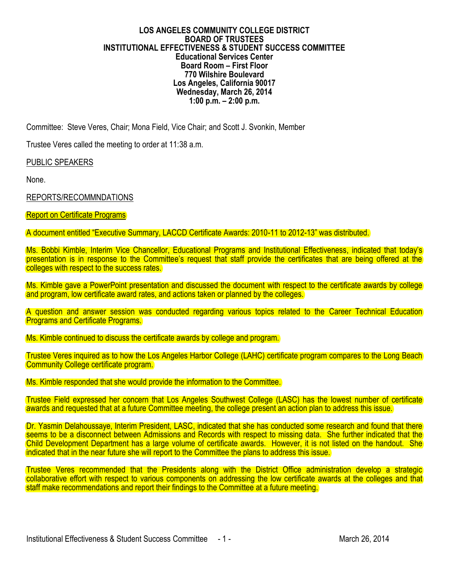#### **LOS ANGELES COMMUNITY COLLEGE DISTRICT BOARD OF TRUSTEES INSTITUTIONAL EFFECTIVENESS & STUDENT SUCCESS COMMITTEE Educational Services Center Board Room – First Floor 770 Wilshire Boulevard Los Angeles, California 90017 Wednesday, March 26, 2014 1:00 p.m. – 2:00 p.m.**

Committee: Steve Veres, Chair; Mona Field, Vice Chair; and Scott J. Svonkin, Member

Trustee Veres called the meeting to order at 11:38 a.m.

PUBLIC SPEAKERS

None.

REPORTS/RECOMMNDATIONS

#### **Report on Certificate Programs**

A document entitled "Executive Summary, LACCD Certificate Awards: 2010-11 to 2012-13" was distributed.

Ms. Bobbi Kimble, Interim Vice Chancellor, Educational Programs and Institutional Effectiveness, indicated that today's presentation is in response to the Committee's request that staff provide the certificates that are being offered at the colleges with respect to the success rates.

Ms. Kimble gave a PowerPoint presentation and discussed the document with respect to the certificate awards by college and program, low certificate award rates, and actions taken or planned by the colleges.

A question and answer session was conducted regarding various topics related to the Career Technical Education **Programs and Certificate Programs.** 

Ms. Kimble continued to discuss the certificate awards by college and program.

Trustee Veres inquired as to how the Los Angeles Harbor College (LAHC) certificate program compares to the Long Beach Community College certificate program.

Ms. Kimble responded that she would provide the information to the Committee.

Trustee Field expressed her concern that Los Angeles Southwest College (LASC) has the lowest number of certificate awards and requested that at a future Committee meeting, the college present an action plan to address this issue.

Dr. Yasmin Delahoussaye, Interim President, LASC, indicated that she has conducted some research and found that there seems to be a disconnect between Admissions and Records with respect to missing data. She further indicated that the Child Development Department has a large volume of certificate awards. However, it is not listed on the handout. She indicated that in the near future she will report to the Committee the plans to address this issue.

Trustee Veres recommended that the Presidents along with the District Office administration develop a strategic collaborative effort with respect to various components on addressing the low certificate awards at the colleges and that staff make recommendations and report their findings to the Committee at a future meeting.